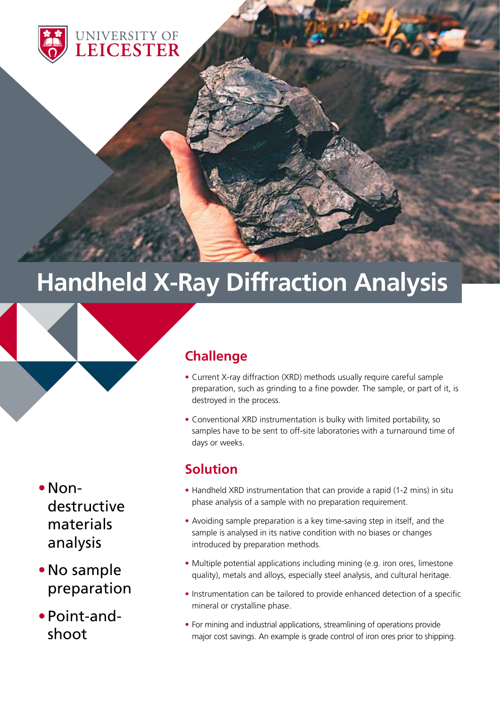

# **Handheld X-Ray Diffraction Analysis**



- •Nondestructive materials analysis
- •No sample preparation
- •Point-andshoot

# **Challenge**

- Current X-ray diffraction (XRD) methods usually require careful sample preparation, such as grinding to a fine powder. The sample, or part of it, is destroyed in the process.
- Conventional XRD instrumentation is bulky with limited portability, so samples have to be sent to off-site laboratories with a turnaround time of days or weeks.

### **Solution**

- Handheld XRD instrumentation that can provide a rapid (1-2 mins) in situ phase analysis of a sample with no preparation requirement.
- Avoiding sample preparation is a key time-saving step in itself, and the sample is analysed in its native condition with no biases or changes introduced by preparation methods.
- Multiple potential applications including mining (e.g. iron ores, limestone quality), metals and alloys, especially steel analysis, and cultural heritage.
- Instrumentation can be tailored to provide enhanced detection of a specific mineral or crystalline phase.
- For mining and industrial applications, streamlining of operations provide major cost savings. An example is grade control of iron ores prior to shipping.